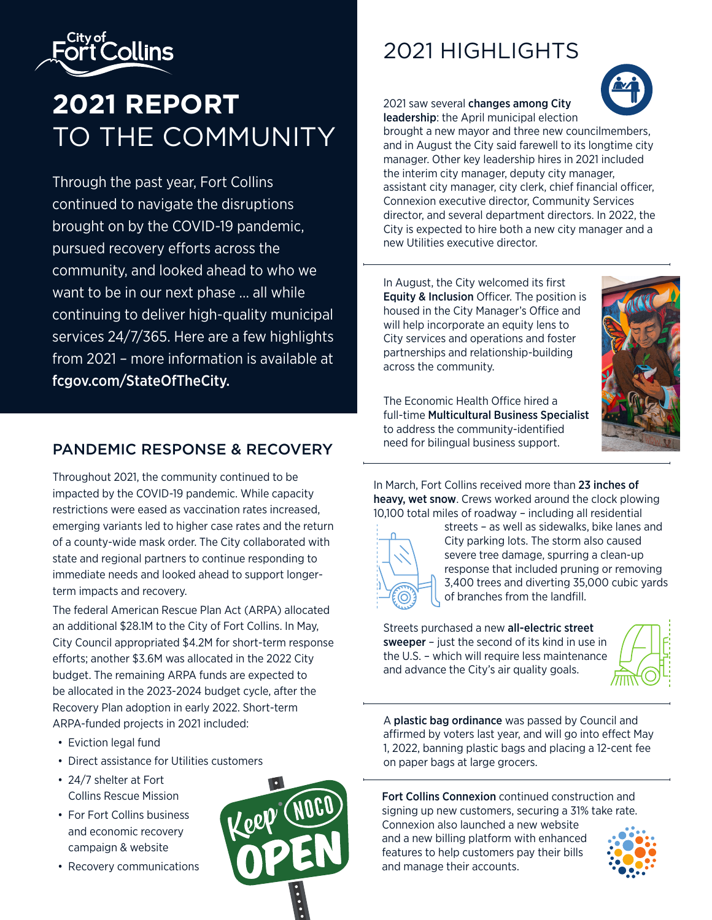

## **2021 REPORT** TO THE COMMUNITY

Through the past year, Fort Collins continued to navigate the disruptions brought on by the COVID-19 pandemic, pursued recovery efforts across the community, and looked ahead to who we want to be in our next phase … all while continuing to deliver high-quality municipal services 24/7/365. Here are a few highlights from 2021 – more information is available at fcgov.com/StateOfTheCity.

## PANDEMIC RESPONSE & RECOVERY

Throughout 2021, the community continued to be impacted by the COVID-19 pandemic. While capacity restrictions were eased as vaccination rates increased, emerging variants led to higher case rates and the return of a county-wide mask order. The City collaborated with state and regional partners to continue responding to immediate needs and looked ahead to support longerterm impacts and recovery.

The federal American Rescue Plan Act (ARPA) allocated an additional \$28.1M to the City of Fort Collins. In May, City Council appropriated \$4.2M for short-term response efforts; another \$3.6M was allocated in the 2022 City budget. The remaining ARPA funds are expected to be allocated in the 2023-2024 budget cycle, after the Recovery Plan adoption in early 2022. Short-term ARPA-funded projects in 2021 included:

- Eviction legal fund
- Direct assistance for Utilities customers
- 24/7 shelter at Fort Collins Rescue Mission
- For Fort Collins business and economic recovery campaign & website
- Recovery communications



## 2021 HIGHLIGHTS

2021 saw several changes among City leadership: the April municipal election



brought a new mayor and three new councilmembers, and in August the City said farewell to its longtime city manager. Other key leadership hires in 2021 included the interim city manager, deputy city manager, assistant city manager, city clerk, chief financial officer, Connexion executive director, Community Services director, and several department directors. In 2022, the City is expected to hire both a new city manager and a new Utilities executive director.

In August, the City welcomed its first Equity & Inclusion Officer. The position is housed in the City Manager's Office and will help incorporate an equity lens to City services and operations and foster partnerships and relationship-building across the community.



The Economic Health Office hired a full-time Multicultural Business Specialist to address the community-identified need for bilingual business support.

In March, Fort Collins received more than 23 inches of heavy, wet snow. Crews worked around the clock plowing 10,100 total miles of roadway – including all residential



streets – as well as sidewalks, bike lanes and City parking lots. The storm also caused severe tree damage, spurring a clean-up response that included pruning or removing 3,400 trees and diverting 35,000 cubic yards of branches from the landfill.

Streets purchased a new all-electric street sweeper – just the second of its kind in use in the U.S. – which will require less maintenance and advance the City's air quality goals.



A plastic bag ordinance was passed by Council and affirmed by voters last year, and will go into effect May 1, 2022, banning plastic bags and placing a 12-cent fee on paper bags at large grocers.

Fort Collins Connexion continued construction and signing up new customers, securing a 31% take rate.

Connexion also launched a new website and a new billing platform with enhanced features to help customers pay their bills and manage their accounts.